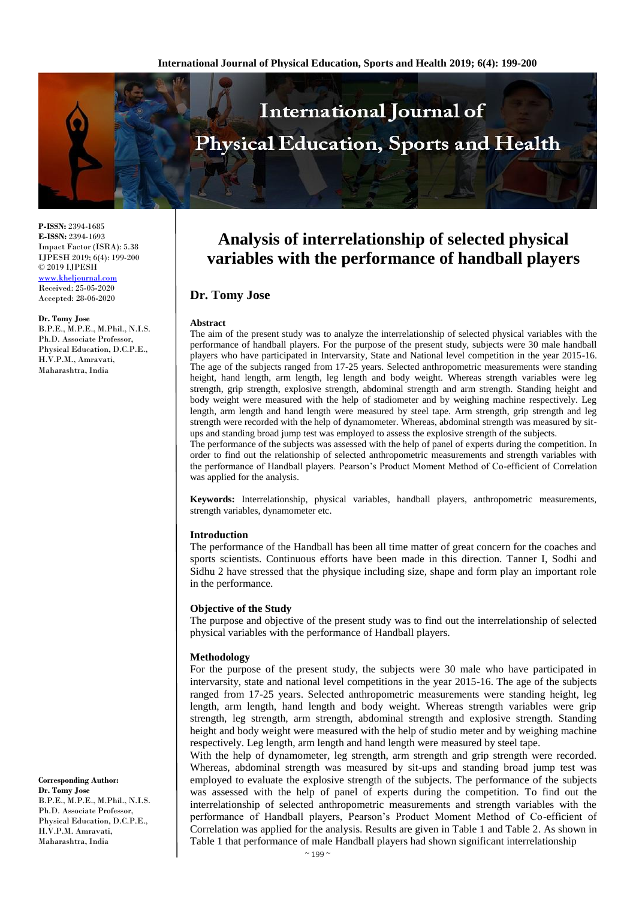

**P-ISSN:** 2394-1685 **E-ISSN:** 2394-1693 Impact Factor (ISRA): 5.38 IJPESH 2019; 6(4): 199-200 © 2019 IJPESH <www.kheljournal.com> Received: 25-05-2020 Accepted: 28-06-2020

#### **Dr. Tomy Jose**

B.P.E., M.P.E., M.Phil., N.I.S. Ph.D. Associate Professor, Physical Education, D.C.P.E., H.V.P.M., Amravati, Maharashtra, India

**Corresponding Author: Dr. Tomy Jose** B.P.E., M.P.E., M.Phil., N.I.S. Ph.D. Associate Professor, Physical Education, D.C.P.E., H.V.P.M. Amravati, Maharashtra, India

# **Analysis of interrelationship of selected physical variables with the performance of handball players**

## **Dr. Tomy Jose**

#### **Abstract**

The aim of the present study was to analyze the interrelationship of selected physical variables with the performance of handball players. For the purpose of the present study, subjects were 30 male handball players who have participated in Intervarsity, State and National level competition in the year 2015-16. The age of the subjects ranged from 17-25 years. Selected anthropometric measurements were standing height, hand length, arm length, leg length and body weight. Whereas strength variables were leg strength, grip strength, explosive strength, abdominal strength and arm strength. Standing height and body weight were measured with the help of stadiometer and by weighing machine respectively. Leg length, arm length and hand length were measured by steel tape. Arm strength, grip strength and leg strength were recorded with the help of dynamometer. Whereas, abdominal strength was measured by situps and standing broad jump test was employed to assess the explosive strength of the subjects.

The performance of the subjects was assessed with the help of panel of experts during the competition. In order to find out the relationship of selected anthropometric measurements and strength variables with the performance of Handball players. Pearson's Product Moment Method of Co-efficient of Correlation was applied for the analysis.

**Keywords:** Interrelationship, physical variables, handball players, anthropometric measurements, strength variables, dynamometer etc.

#### **Introduction**

The performance of the Handball has been all time matter of great concern for the coaches and sports scientists. Continuous efforts have been made in this direction. Tanner I, Sodhi and Sidhu 2 have stressed that the physique including size, shape and form play an important role in the performance.

#### **Objective of the Study**

The purpose and objective of the present study was to find out the interrelationship of selected physical variables with the performance of Handball players.

#### **Methodology**

For the purpose of the present study, the subjects were 30 male who have participated in intervarsity, state and national level competitions in the year 2015-16. The age of the subjects ranged from 17-25 years. Selected anthropometric measurements were standing height, leg length, arm length, hand length and body weight. Whereas strength variables were grip strength, leg strength, arm strength, abdominal strength and explosive strength. Standing height and body weight were measured with the help of studio meter and by weighing machine respectively. Leg length, arm length and hand length were measured by steel tape.

With the help of dynamometer, leg strength, arm strength and grip strength were recorded. Whereas, abdominal strength was measured by sit-ups and standing broad jump test was employed to evaluate the explosive strength of the subjects. The performance of the subjects was assessed with the help of panel of experts during the competition. To find out the interrelationship of selected anthropometric measurements and strength variables with the performance of Handball players, Pearson's Product Moment Method of Co-efficient of Correlation was applied for the analysis. Results are given in Table 1 and Table 2. As shown in Table 1 that performance of male Handball players had shown significant interrelationship